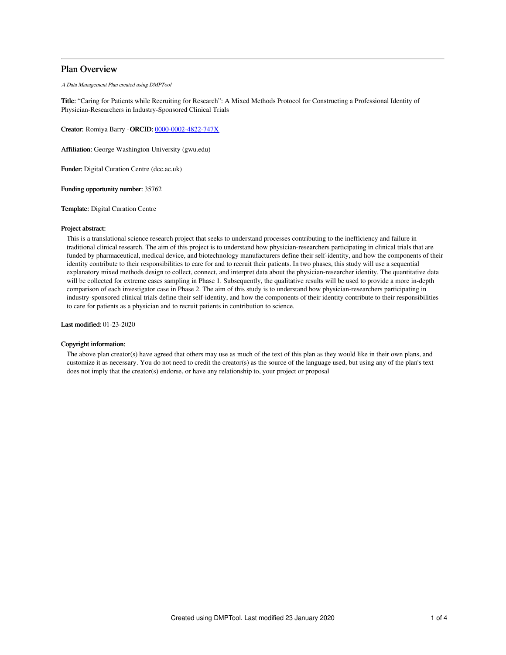# Plan Overview

A Data Management Plan created using DMPTool

Title: "Caring for Patients while Recruiting for Research": A Mixed Methods Protocol for Constructing a Professional Identity of Physician-Researchers in Industry-Sponsored Clinical Trials

Creator: Romiya Barry -ORCID: [0000-0002-4822-747X](https://orcid.org/0000-0002-4822-747X)

Affiliation: George Washington University (gwu.edu)

Funder: Digital Curation Centre (dcc.ac.uk)

Funding opportunity number: 35762

Template: Digital Curation Centre

## Project abstract:

This is a translational science research project that seeks to understand processes contributing to the inefficiency and failure in traditional clinical research. The aim of this project is to understand how physician-researchers participating in clinical trials that are funded by pharmaceutical, medical device, and biotechnology manufacturers define their self-identity, and how the components of their identity contribute to their responsibilities to care for and to recruit their patients. In two phases, this study will use a sequential explanatory mixed methods design to collect, connect, and interpret data about the physician-researcher identity. The quantitative data will be collected for extreme cases sampling in Phase 1. Subsequently, the qualitative results will be used to provide a more in-depth comparison of each investigator case in Phase 2. The aim of this study is to understand how physician-researchers participating in industry-sponsored clinical trials define their self-identity, and how the components of their identity contribute to their responsibilities to care for patients as a physician and to recruit patients in contribution to science.

Last modified: 01-23-2020

## Copyright information:

The above plan creator(s) have agreed that others may use as much of the text of this plan as they would like in their own plans, and customize it as necessary. You do not need to credit the creator(s) as the source of the language used, but using any of the plan's text does not imply that the creator(s) endorse, or have any relationship to, your project or proposal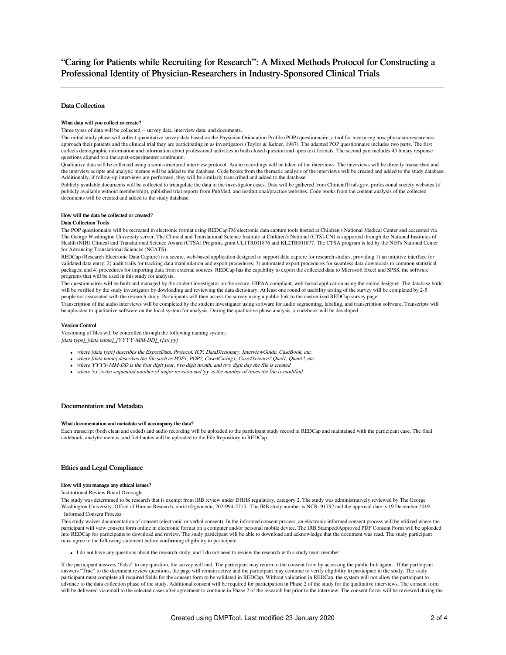## Data Collection

### What data will you collect or create?

Three types of data will be collected -- survey data, interview data, and documents.

The initial study phase will collect quantitative survey data based on the Physician Orientation Profile (POP) questionnaire, a tool for measuring how physician-researchers approach their patients and the clinical trial they are participating in as investigators (Taylor & Kelner, 1987). The adapted POP questionnaire includes two parts. The first collects demographic information and information about professional activities in both closed question and open text formats. The second part includes 45 binary response questions aligned to a therapist-experimenter continuum.

Qualitative data will be collected using a semi-structured interview protocol. Audio recordings will be taken of the interviews. The interviews will be directly transcribed and the interview scripts and analytic memos will be added to the database. Code books from the thematic analysis of the interviews will be created and added to the study database. Additionally, if follow-up interviews are performed, they will be similarly transcribed and added to the database.

Publicly available documents will be collected to triangulate the data in the investigator cases. Data will be gathered from ClinicialTrials.gov, professional society websites (if publicly available without membership), published trial reports from PubMed, and institutional/practice websites. Code books from the content analysis of the collected documents will be created and added to the study database.

### How will the data be collected or created?

### Data Collection Tools

The POP questionnaire will be recreated in electronic format using REDCapTM electronic data capture tools hosted at Children's National Medical Center and accessted via The George Washington University server. The Clinical and Translational Science Institute at Children's National (CTSI-CN) is supported through the National Institutes of Health (NIH) Clinical and Translational Science Award (CTSA) Program, grant UL1TR001876 and KL2TR001877. The CTSA program is led by the NIH's National Center for Advancing Translational Sciences (NCATS).

REDCap (Research Electronic Data Capture) is a secure, web-based application designed to support data capture for research studies, providing 1) an intuitive interface for validated data entry; 2) audit trails for tracking data manipulation and export procedures; 3) automated export procedures for seamless data downloads to common statistical packages; and 4) procedures for importing data from external sources. REDCap has the capability to export the collected data to Microsoft Excel and SPSS, the software programs that will be used in this study for analysis.

The questionnaires will be built and managed by the student investigator on the secure, HIPAA compliant, web-based application using the online designer. The database build will be verified by the study investigator by dowloading and reviewing the data dictionary. At least one round of usability testing of the survey will be completed by 2-5 people not associated with the research study. Participants will then access the survey using a public link to the customized REDCap survey page.

Transcription of the audio interviews will be completed by the student investigator using software for audio segmenting, labeling, and transcription software. Transcripts will be uploaded to qualitative software on the local system for analysis. During the qualitative phase analysis, a codebook will be developed.

### Version Control

Versioning of files will be controlled through the following naming system: [data type]\_[data name]\_[YYYY-MM-DD]\_v[xx.yy]

- where [data type] describes the ExportData, Protocol, ICF, DataDictionary, InterviewGuide, CaseBook, etc.
- where [data name] describes the file such as POP1, POP2, Case4Caring1, Case4Science2, Qual1, Quant2, etc.
- where YYYY-MM-DD is the four digit year, two digit month, and two digit day the file is created  $\bullet$  where 'xx' is the sequential number of major revision and 'yy' is the number of times the file is modified
- 

## Documentation and Metadata

### What documentation and metadata will accompany the data?

Each transcript (both clean and coded) and audio recording will be uploaded to the participant study record in REDCap and maintained with the participant case. The final codebook, analytic memos, and field notes will be uploaded to the File Repository in REDCap.

## Ethics and Legal Compliance

### How will you manage any ethical issues?

Institutional Review Board Oversight

The study was determined to be research that is exempt from IRB review under DHHS regulatory, category 2. The study was administratively reviewed by The George Washington University, Office of Human Research, ohrirb@gwu.edu, 202-994-2715. The IRB study number is NCR191792 and the approval date is 19 December 2019. Informed Consent Process

This study waives documentation of consent (electronic or verbal consent). In the informed consent process, an electronic informed consent process will be utilized where the participant will view consent form online in electronic format on a computer and/or personal mobile device. The IRB Stamped/Approved PDF Consent Form will be uploaded into REDCap for participants to download and review. The study participant will be able to download and acknowledge that the document was read. The study participant must agree to the following statement before confirming eligibility to participate:

I do not have any questions about the research study, and I do not need to review the research with a study team member

If the participant answers 'False" to any question, the survey will end. The participant may return to the consent form by accessing the public link again. If the participant answers "True" to the document review questions, the page will remain active and the participant may continue to verify eligibility to participate in the study. The study participant must complete all required fields for the consent form to be validated in REDCap. Without validation in REDCap, the system will not allow the participant to advance to the data collection phase of the study. Additional consent will be required for participation in Phase 2 of the study for the qualitative interviews. The consent form will be delivered via email to the selected cases after agreement to continue in Phase 2 of the research but prior to the interview. The consent forms will be reviewed during the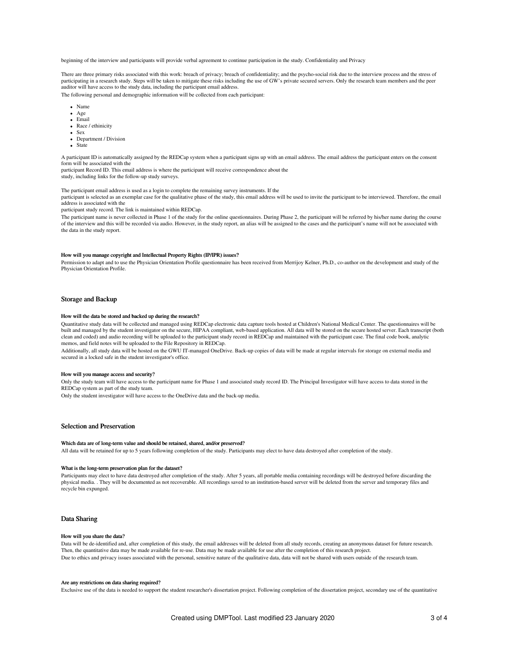beginning of the interview and participants will provide verbal agreement to continue participation in the study. Confidentiality and Privacy

There are three primary risks associated with this work: breach of privacy; breach of confidentiality; and the psycho-social risk due to the interview process and the stress of participating in a research study. Steps will be taken to mitigate these risks including the use of GW's private secured servers. Only the research team members and the peer auditor will have access to the study data, including the participant email address.

The following personal and demographic information will be collected from each participant:

- Name
- Age
- Email
- Race / ethinicity
- Sex
- Department / Division
- State

A participant ID is automatically assigned by the REDCap system when a participant signs up with an email address. The email address the participant enters on the consent form will be associated with the

participant Record ID. This email address is where the participant will receive correspondence about the study, including links for the follow-up study surveys.

The participant email address is used as a login to complete the remaining survey instruments. If the

participant is selected as an exemplar case for the qualitative phase of the study, this email address will be used to invite the participant to be interviewed. Therefore, the email address is associated with the

### participant study record. The link is maintained within REDCap.

The participant name is never collected in Phase 1 of the study for the online questionnaires. During Phase 2, the participant will be referred by his/her name during the course of the interview and this will be recorded via audio. However, in the study report, an alias will be assigned to the cases and the participant's name will not be associated with the data in the study report.

### How will you manage copyright and Intellectual Property Rights (IP/IPR) issues?

Permission to adapt and to use the Physician Orientation Profile questionnaire has been received from Merrijoy Kelner, Ph.D., co-author on the development and study of the Physician Orientation Profile.

## Storage and Backup

### How will the data be stored and backed up during the research?

Quantitative study data will be collected and managed using REDCap electronic data capture tools hosted at Children's National Medical Center. The questionnaires will be built and managed by the student investigator on the secure, HIPAA compliant, web-based application. All data will be stored on the secure hosted server. Each transcript (both clean and coded) and audio recording will be uploaded to the participant study record in REDCap and maintained with the participant case. The final code book, analytic memos, and field notes will be uploaded to the File Repository in REDCap.

Additionally, all study data will be hosted on the GWU IT-managed OneDrive. Back-up copies of data will be made at regular intervals for storage on external media and secured in a locked safe in the student investigator's office.

#### How will you manage access and security?

Only the study team will have access to the participant name for Phase 1 and associated study record ID. The Principal Investigator will have access to data stored in the REDCap system as part of the study team.

Only the student investigator will have access to the OneDrive data and the back-up media.

## Selection and Preservation

#### Which data are of long-term value and should be retained, shared, and/or preserved?

All data will be retained for up to 5 years following completion of the study. Participants may elect to have data destroyed after completion of the study.

### What is the long-term preservation plan for the dataset?

Participants may elect to have data destroyed after completion of the study. After 5 years, all portable media containing recordings will be destroyed before discarding the physical media. . They will be documented as not recoverable. All recordings saved to an institution-based server will be deleted from the server and temporary files and recycle bin expunged.

## Data Sharing

### How will you share the data?

Data will be de-identified and, after completion of this study, the email addresses will be deleted from all study records, creating an anonymous dataset for future research. Then, the quantitative data may be made available for re-use. Data may be made available for use after the completion of this research project. Due to ethics and privacy issues associated with the personal, sensitive nature of the qualitative data, data will not be shared with users outside of the research team.

### Are any restrictions on data sharing required?

Exclusive use of the data is needed to support the student researcher's dissertation project. Following completion of the dissertation project, secondary use of the quantitative